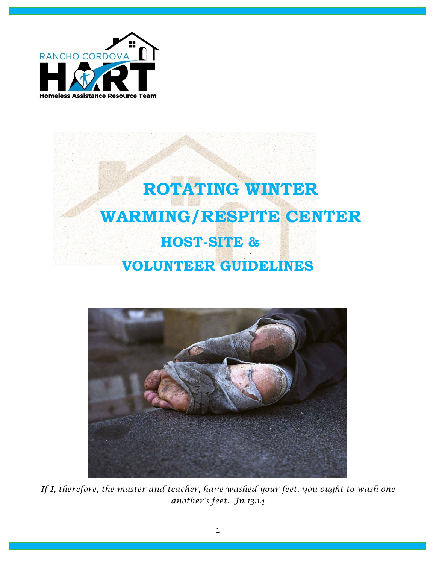

# **ROTATING WINTER WARMING/RESPITE CENTER HOST-SITE & VOLUNTEER GUIDELINES**



*If I, therefore, the master and teacher, have washed your feet, you ought to wash one another's feet. Jn 13:14*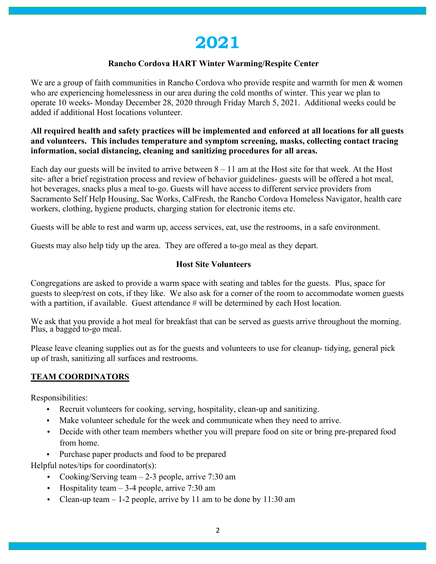# **2021**

#### **Rancho Cordova HART Winter Warming/Respite Center**

We are a group of faith communities in Rancho Cordova who provide respite and warmth for men & women who are experiencing homelessness in our area during the cold months of winter. This year we plan to operate 10 weeks- Monday December 28, 2020 through Friday March 5, 2021. Additional weeks could be added if additional Host locations volunteer.

#### **All required health and safety practices will be implemented and enforced at all locations for all guests and volunteers. This includes temperature and symptom screening, masks, collecting contact tracing information, social distancing, cleaning and sanitizing procedures for all areas.**

Each day our guests will be invited to arrive between  $8 - 11$  am at the Host site for that week. At the Host site- after a brief registration process and review of behavior guidelines- guests will be offered a hot meal, hot beverages, snacks plus a meal to-go. Guests will have access to different service providers from Sacramento Self Help Housing, Sac Works, CalFresh, the Rancho Cordova Homeless Navigator, health care workers, clothing, hygiene products, charging station for electronic items etc.

Guests will be able to rest and warm up, access services, eat, use the restrooms, in a safe environment.

Guests may also help tidy up the area. They are offered a to-go meal as they depart.

#### **Host Site Volunteers**

Congregations are asked to provide a warm space with seating and tables for the guests. Plus, space for guests to sleep/rest on cots, if they like. We also ask for a corner of the room to accommodate women guests with a partition, if available. Guest attendance # will be determined by each Host location.

We ask that you provide a hot meal for breakfast that can be served as guests arrive throughout the morning. Plus, a bagged to-go meal.

Please leave cleaning supplies out as for the guests and volunteers to use for cleanup- tidying, general pick up of trash, sanitizing all surfaces and restrooms.

## **TEAM COORDINATORS**

Responsibilities:

- Recruit volunteers for cooking, serving, hospitality, clean-up and sanitizing.
- Make volunteer schedule for the week and communicate when they need to arrive.
- Decide with other team members whether you will prepare food on site or bring pre-prepared food from home.
- Purchase paper products and food to be prepared

Helpful notes/tips for coordinator(s):

- Cooking/Serving team 2-3 people, arrive 7:30 am
- Hospitality team  $-3-4$  people, arrive 7:30 am
- Clean-up team  $-1$ -2 people, arrive by 11 am to be done by 11:30 am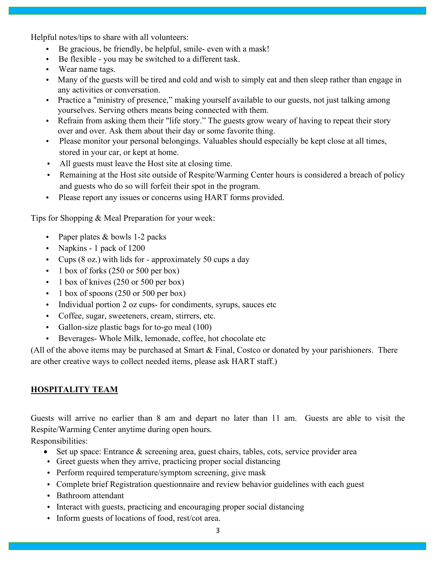Helpful notes/tips to share with all volunteers:

- Be gracious, be friendly, be helpful, smile- even with a mask!
- Be flexible you may be switched to a different task.
- Wear name tags.
- Many of the guests will be tired and cold and wish to simply eat and then sleep rather than engage in any activities or conversation.
- Practice a "ministry of presence," making yourself available to our guests, not just talking among yourselves. Serving others means being connected with them.
- Refrain from asking them their "life story." The guests grow weary of having to repeat their story over and over. Ask them about their day or some favorite thing.
- Please monitor your personal belongings. Valuables should especially be kept close at all times, stored in your car, or kept at home.
- All guests must leave the Host site at closing time.
- Remaining at the Host site outside of Respite/Warming Center hours is considered a breach of policy and guests who do so will forfeit their spot in the program.
- Please report any issues or concerns using HART forms provided.

Tips for Shopping & Meal Preparation for your week:

- Paper plates & bowls 1-2 packs
- Napkins 1 pack of 1200
- Cups (8 oz.) with lids for approximately 50 cups a day
- $\cdot$  1 box of forks (250 or 500 per box)
- 1 box of knives (250 or 500 per box)
- 1 box of spoons (250 or 500 per box)
- Individual portion 2 oz cups- for condiments, syrups, sauces etc
- Coffee, sugar, sweeteners, cream, stirrers, etc.
- Gallon-size plastic bags for to-go meal (100)
- Beverages- Whole Milk, lemonade, coffee, hot chocolate etc

(All of the above items may be purchased at Smart & Final, Costco or donated by your parishioners. There are other creative ways to collect needed items, please ask HART staff.)

## **HOSPITALITY TEAM**

Guests will arrive no earlier than 8 am and depart no later than 11 am. Guests are able to visit the Respite/Warming Center anytime during open hours.

Responsibilities:

- Set up space: Entrance & screening area, guest chairs, tables, cots, service provider area
- Greet guests when they arrive, practicing proper social distancing
- Perform required temperature/symptom screening, give mask
- Complete brief Registration questionnaire and review behavior guidelines with each guest
- Bathroom attendant
- Interact with guests, practicing and encouraging proper social distancing
- Inform guests of locations of food, rest/cot area.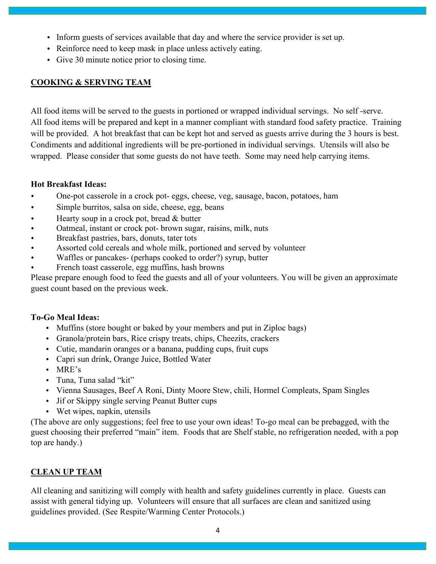- Inform guests of services available that day and where the service provider is set up.
- Reinforce need to keep mask in place unless actively eating.
- Give 30 minute notice prior to closing time.

#### **COOKING & SERVING TEAM**

All food items will be served to the guests in portioned or wrapped individual servings. No self -serve. All food items will be prepared and kept in a manner compliant with standard food safety practice. Training will be provided. A hot breakfast that can be kept hot and served as guests arrive during the 3 hours is best. Condiments and additional ingredients will be pre-portioned in individual servings. Utensils will also be wrapped. Please consider that some guests do not have teeth. Some may need help carrying items.

#### **Hot Breakfast Ideas:**

- One-pot casserole in a crock pot- eggs, cheese, veg, sausage, bacon, potatoes, ham
- Simple burritos, salsa on side, cheese, egg, beans
- Hearty soup in a crock pot, bread & butter
- Oatmeal, instant or crock pot- brown sugar, raisins, milk, nuts
- Breakfast pastries, bars, donuts, tater tots
- Assorted cold cereals and whole milk, portioned and served by volunteer
- Waffles or pancakes- (perhaps cooked to order?) syrup, butter
- French toast casserole, egg muffins, hash browns

Please prepare enough food to feed the guests and all of your volunteers. You will be given an approximate guest count based on the previous week.

## **To-Go Meal Ideas:**

- Muffins (store bought or baked by your members and put in Ziploc bags)
- Granola/protein bars, Rice crispy treats, chips, Cheezits, crackers
- Cutie, mandarin oranges or a banana, pudding cups, fruit cups
- Capri sun drink, Orange Juice, Bottled Water
- MRE's
- Tuna, Tuna salad "kit"
- Vienna Sausages, Beef A Roni, Dinty Moore Stew, chili, Hormel Compleats, Spam Singles
- Jif or Skippy single serving Peanut Butter cups
- Wet wipes, napkin, utensils

(The above are only suggestions; feel free to use your own ideas! To-go meal can be prebagged, with the guest choosing their preferred "main" item. Foods that are Shelf stable, no refrigeration needed, with a pop top are handy.)

# **CLEAN UP TEAM**

All cleaning and sanitizing will comply with health and safety guidelines currently in place. Guests can assist with general tidying up. Volunteers will ensure that all surfaces are clean and sanitized using guidelines provided. (See Respite/Warming Center Protocols.)